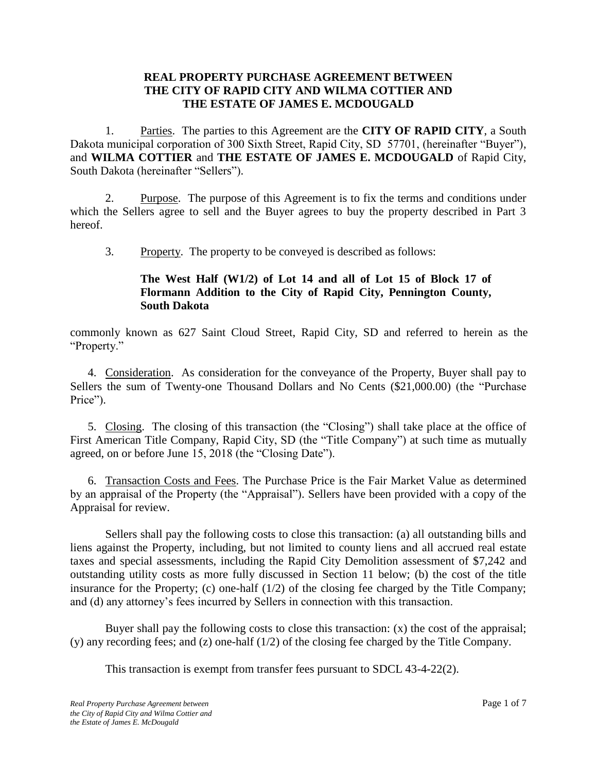### **REAL PROPERTY PURCHASE AGREEMENT BETWEEN THE CITY OF RAPID CITY AND WILMA COTTIER AND THE ESTATE OF JAMES E. MCDOUGALD**

1. Parties. The parties to this Agreement are the **CITY OF RAPID CITY**, a South Dakota municipal corporation of 300 Sixth Street, Rapid City, SD 57701, (hereinafter "Buyer"), and **WILMA COTTIER** and **THE ESTATE OF JAMES E. MCDOUGALD** of Rapid City, South Dakota (hereinafter "Sellers").

2. Purpose. The purpose of this Agreement is to fix the terms and conditions under which the Sellers agree to sell and the Buyer agrees to buy the property described in Part 3 hereof.

3. Property. The property to be conveyed is described as follows:

## **The West Half (W1/2) of Lot 14 and all of Lot 15 of Block 17 of Flormann Addition to the City of Rapid City, Pennington County, South Dakota**

commonly known as 627 Saint Cloud Street, Rapid City, SD and referred to herein as the "Property."

4. Consideration. As consideration for the conveyance of the Property, Buyer shall pay to Sellers the sum of Twenty-one Thousand Dollars and No Cents (\$21,000.00) (the "Purchase Price").

5. Closing. The closing of this transaction (the "Closing") shall take place at the office of First American Title Company, Rapid City, SD (the "Title Company") at such time as mutually agreed, on or before June 15, 2018 (the "Closing Date").

6. Transaction Costs and Fees. The Purchase Price is the Fair Market Value as determined by an appraisal of the Property (the "Appraisal"). Sellers have been provided with a copy of the Appraisal for review.

Sellers shall pay the following costs to close this transaction: (a) all outstanding bills and liens against the Property, including, but not limited to county liens and all accrued real estate taxes and special assessments, including the Rapid City Demolition assessment of \$7,242 and outstanding utility costs as more fully discussed in Section 11 below; (b) the cost of the title insurance for the Property; (c) one-half (1/2) of the closing fee charged by the Title Company; and (d) any attorney's fees incurred by Sellers in connection with this transaction.

Buyer shall pay the following costs to close this transaction:  $(x)$  the cost of the appraisal; (y) any recording fees; and (z) one-half (1/2) of the closing fee charged by the Title Company.

This transaction is exempt from transfer fees pursuant to SDCL 43-4-22(2).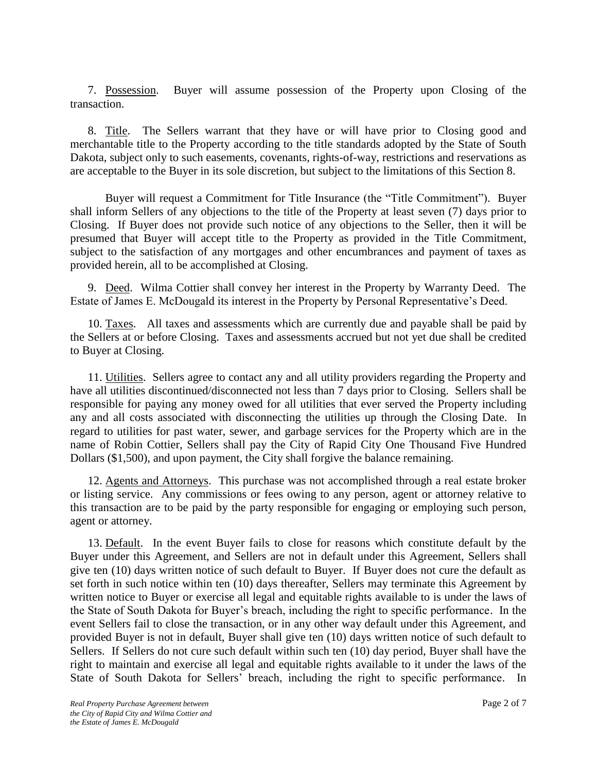7. Possession. Buyer will assume possession of the Property upon Closing of the transaction.

8. Title. The Sellers warrant that they have or will have prior to Closing good and merchantable title to the Property according to the title standards adopted by the State of South Dakota, subject only to such easements, covenants, rights-of-way, restrictions and reservations as are acceptable to the Buyer in its sole discretion, but subject to the limitations of this Section 8.

Buyer will request a Commitment for Title Insurance (the "Title Commitment"). Buyer shall inform Sellers of any objections to the title of the Property at least seven (7) days prior to Closing. If Buyer does not provide such notice of any objections to the Seller, then it will be presumed that Buyer will accept title to the Property as provided in the Title Commitment, subject to the satisfaction of any mortgages and other encumbrances and payment of taxes as provided herein, all to be accomplished at Closing.

9. Deed. Wilma Cottier shall convey her interest in the Property by Warranty Deed. The Estate of James E. McDougald its interest in the Property by Personal Representative's Deed.

10. Taxes. All taxes and assessments which are currently due and payable shall be paid by the Sellers at or before Closing. Taxes and assessments accrued but not yet due shall be credited to Buyer at Closing.

11. Utilities. Sellers agree to contact any and all utility providers regarding the Property and have all utilities discontinued/disconnected not less than 7 days prior to Closing. Sellers shall be responsible for paying any money owed for all utilities that ever served the Property including any and all costs associated with disconnecting the utilities up through the Closing Date. In regard to utilities for past water, sewer, and garbage services for the Property which are in the name of Robin Cottier, Sellers shall pay the City of Rapid City One Thousand Five Hundred Dollars (\$1,500), and upon payment, the City shall forgive the balance remaining.

12. Agents and Attorneys. This purchase was not accomplished through a real estate broker or listing service. Any commissions or fees owing to any person, agent or attorney relative to this transaction are to be paid by the party responsible for engaging or employing such person, agent or attorney.

13. Default. In the event Buyer fails to close for reasons which constitute default by the Buyer under this Agreement, and Sellers are not in default under this Agreement, Sellers shall give ten (10) days written notice of such default to Buyer. If Buyer does not cure the default as set forth in such notice within ten (10) days thereafter, Sellers may terminate this Agreement by written notice to Buyer or exercise all legal and equitable rights available to is under the laws of the State of South Dakota for Buyer's breach, including the right to specific performance. In the event Sellers fail to close the transaction, or in any other way default under this Agreement, and provided Buyer is not in default, Buyer shall give ten (10) days written notice of such default to Sellers. If Sellers do not cure such default within such ten (10) day period, Buyer shall have the right to maintain and exercise all legal and equitable rights available to it under the laws of the State of South Dakota for Sellers' breach, including the right to specific performance. In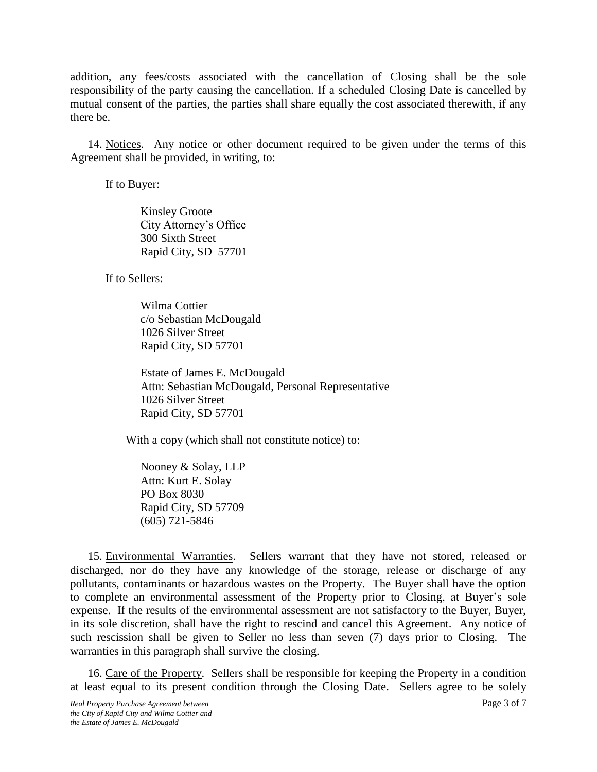addition, any fees/costs associated with the cancellation of Closing shall be the sole responsibility of the party causing the cancellation. If a scheduled Closing Date is cancelled by mutual consent of the parties, the parties shall share equally the cost associated therewith, if any there be.

14. Notices. Any notice or other document required to be given under the terms of this Agreement shall be provided, in writing, to:

If to Buyer:

Kinsley Groote City Attorney's Office 300 Sixth Street Rapid City, SD 57701

If to Sellers:

Wilma Cottier c/o Sebastian McDougald 1026 Silver Street Rapid City, SD 57701

Estate of James E. McDougald Attn: Sebastian McDougald, Personal Representative 1026 Silver Street Rapid City, SD 57701

With a copy (which shall not constitute notice) to:

Nooney & Solay, LLP Attn: Kurt E. Solay PO Box 8030 Rapid City, SD 57709 (605) 721-5846

15. Environmental Warranties. Sellers warrant that they have not stored, released or discharged, nor do they have any knowledge of the storage, release or discharge of any pollutants, contaminants or hazardous wastes on the Property. The Buyer shall have the option to complete an environmental assessment of the Property prior to Closing, at Buyer's sole expense. If the results of the environmental assessment are not satisfactory to the Buyer, Buyer, in its sole discretion, shall have the right to rescind and cancel this Agreement. Any notice of such rescission shall be given to Seller no less than seven (7) days prior to Closing. The warranties in this paragraph shall survive the closing.

16. Care of the Property. Sellers shall be responsible for keeping the Property in a condition at least equal to its present condition through the Closing Date. Sellers agree to be solely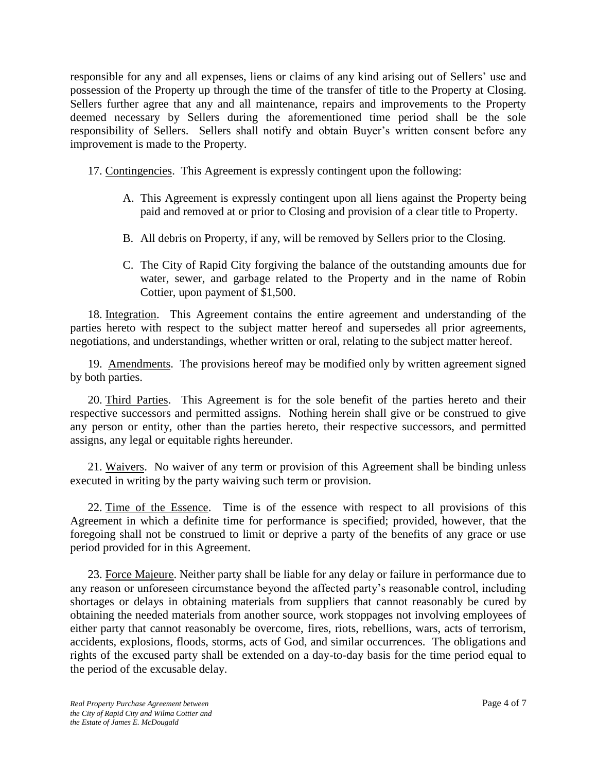responsible for any and all expenses, liens or claims of any kind arising out of Sellers' use and possession of the Property up through the time of the transfer of title to the Property at Closing. Sellers further agree that any and all maintenance, repairs and improvements to the Property deemed necessary by Sellers during the aforementioned time period shall be the sole responsibility of Sellers. Sellers shall notify and obtain Buyer's written consent before any improvement is made to the Property.

- 17. Contingencies. This Agreement is expressly contingent upon the following:
	- A. This Agreement is expressly contingent upon all liens against the Property being paid and removed at or prior to Closing and provision of a clear title to Property.
	- B. All debris on Property, if any, will be removed by Sellers prior to the Closing.
	- C. The City of Rapid City forgiving the balance of the outstanding amounts due for water, sewer, and garbage related to the Property and in the name of Robin Cottier, upon payment of \$1,500.

18. Integration. This Agreement contains the entire agreement and understanding of the parties hereto with respect to the subject matter hereof and supersedes all prior agreements, negotiations, and understandings, whether written or oral, relating to the subject matter hereof.

19. Amendments. The provisions hereof may be modified only by written agreement signed by both parties.

20. Third Parties. This Agreement is for the sole benefit of the parties hereto and their respective successors and permitted assigns. Nothing herein shall give or be construed to give any person or entity, other than the parties hereto, their respective successors, and permitted assigns, any legal or equitable rights hereunder.

21. Waivers. No waiver of any term or provision of this Agreement shall be binding unless executed in writing by the party waiving such term or provision.

22. Time of the Essence. Time is of the essence with respect to all provisions of this Agreement in which a definite time for performance is specified; provided, however, that the foregoing shall not be construed to limit or deprive a party of the benefits of any grace or use period provided for in this Agreement.

23. Force Majeure. Neither party shall be liable for any delay or failure in performance due to any reason or unforeseen circumstance beyond the affected party's reasonable control, including shortages or delays in obtaining materials from suppliers that cannot reasonably be cured by obtaining the needed materials from another source, work stoppages not involving employees of either party that cannot reasonably be overcome, fires, riots, rebellions, wars, acts of terrorism, accidents, explosions, floods, storms, acts of God, and similar occurrences. The obligations and rights of the excused party shall be extended on a day-to-day basis for the time period equal to the period of the excusable delay.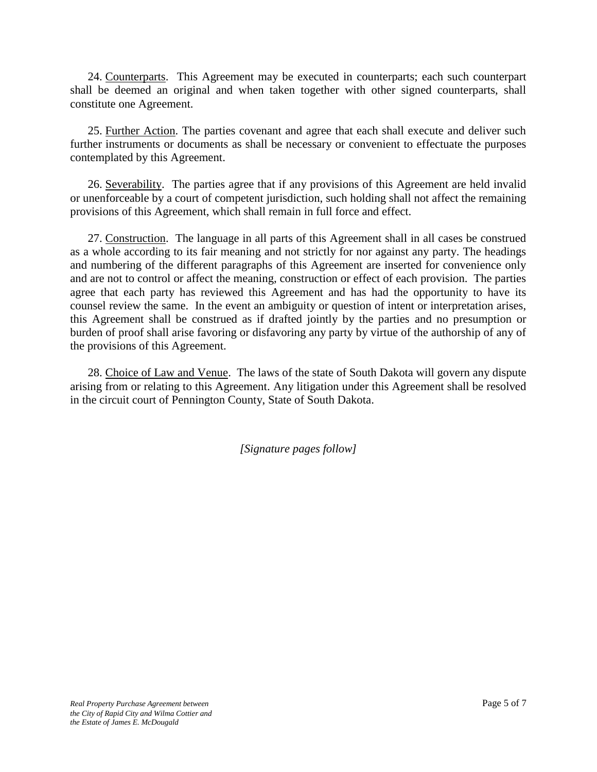24. Counterparts. This Agreement may be executed in counterparts; each such counterpart shall be deemed an original and when taken together with other signed counterparts, shall constitute one Agreement.

25. Further Action. The parties covenant and agree that each shall execute and deliver such further instruments or documents as shall be necessary or convenient to effectuate the purposes contemplated by this Agreement.

26. Severability. The parties agree that if any provisions of this Agreement are held invalid or unenforceable by a court of competent jurisdiction, such holding shall not affect the remaining provisions of this Agreement, which shall remain in full force and effect.

27. Construction. The language in all parts of this Agreement shall in all cases be construed as a whole according to its fair meaning and not strictly for nor against any party. The headings and numbering of the different paragraphs of this Agreement are inserted for convenience only and are not to control or affect the meaning, construction or effect of each provision. The parties agree that each party has reviewed this Agreement and has had the opportunity to have its counsel review the same. In the event an ambiguity or question of intent or interpretation arises, this Agreement shall be construed as if drafted jointly by the parties and no presumption or burden of proof shall arise favoring or disfavoring any party by virtue of the authorship of any of the provisions of this Agreement.

28. Choice of Law and Venue. The laws of the state of South Dakota will govern any dispute arising from or relating to this Agreement. Any litigation under this Agreement shall be resolved in the circuit court of Pennington County, State of South Dakota.

*[Signature pages follow]*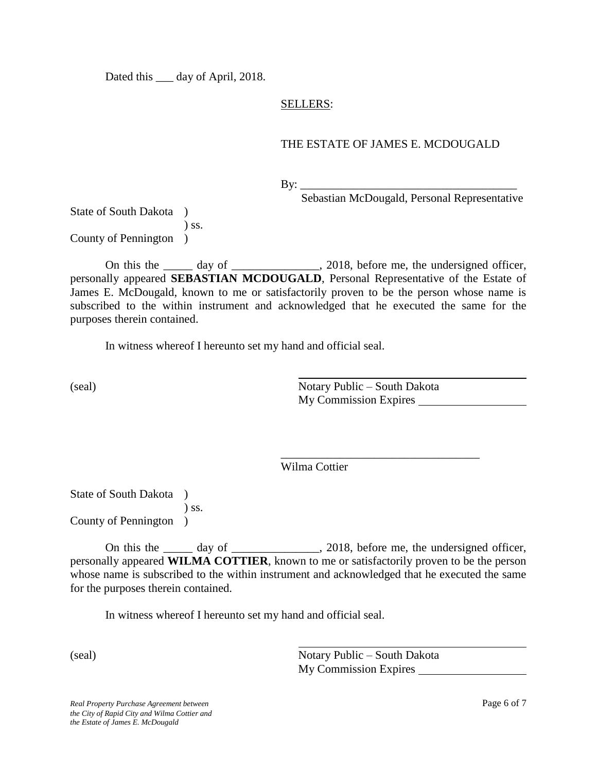Dated this <u>equal</u> day of April, 2018.

### SELLERS:

### THE ESTATE OF JAMES E. MCDOUGALD

By: \_\_\_\_\_\_\_\_\_\_\_\_\_\_\_\_\_\_\_\_\_\_\_\_\_\_\_\_\_\_\_\_\_\_\_\_\_

Sebastian McDougald, Personal Representative

State of South Dakota ) ) ss. County of Pennington )

On this the \_\_\_\_\_ day of \_\_\_\_\_\_\_\_\_\_\_, 2018, before me, the undersigned officer, personally appeared **SEBASTIAN MCDOUGALD**, Personal Representative of the Estate of James E. McDougald, known to me or satisfactorily proven to be the person whose name is subscribed to the within instrument and acknowledged that he executed the same for the purposes therein contained.

In witness whereof I hereunto set my hand and official seal.

(seal) Notary Public – South Dakota My Commission Expires

\_\_\_\_\_\_\_\_\_\_\_\_\_\_\_\_\_\_\_\_\_\_\_\_\_\_\_\_\_\_\_\_\_\_

Wilma Cottier

State of South Dakota )  $\sum$  ss. County of Pennington )

On this the day of  $\qquad \qquad$  2018, before me, the undersigned officer, personally appeared **WILMA COTTIER**, known to me or satisfactorily proven to be the person whose name is subscribed to the within instrument and acknowledged that he executed the same for the purposes therein contained.

In witness whereof I hereunto set my hand and official seal.

(seal) Notary Public – South Dakota My Commission Expires

*Real Property Purchase Agreement between* Page 6 of 7 *the City of Rapid City and Wilma Cottier and the Estate of James E. McDougald*